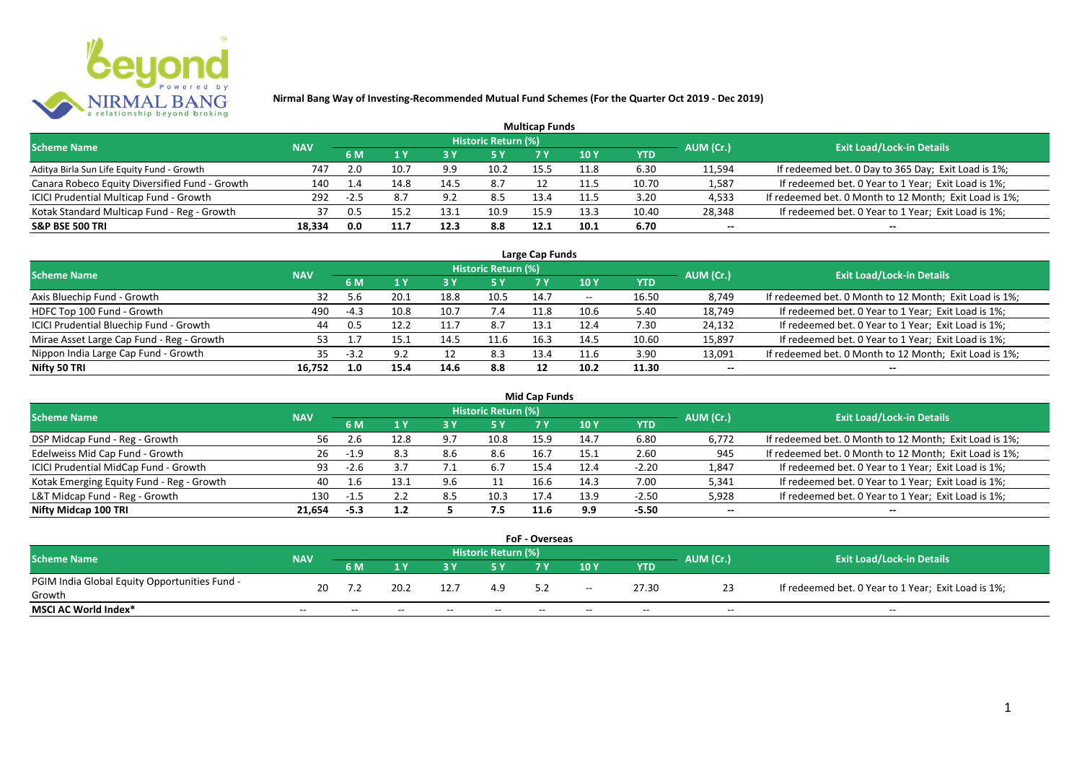

|                                                |            |           |                                  |      |      | <b>Multicap Funds</b> |                 |            |        |                                                        |
|------------------------------------------------|------------|-----------|----------------------------------|------|------|-----------------------|-----------------|------------|--------|--------------------------------------------------------|
| <b>Scheme Name</b>                             | <b>NAV</b> | AUM (Cr.) | <b>Exit Load/Lock-in Details</b> |      |      |                       |                 |            |        |                                                        |
|                                                |            | 6 M       |                                  | 73 Y | /5 Y |                       | 10 <sub>Y</sub> | <b>YTD</b> |        |                                                        |
| Aditya Birla Sun Life Equity Fund - Growth     | 747        | 2.0       | 10.1                             | 9.9  | 10.2 | 15.5                  | 11.8            | 6.30       | 11,594 | If redeemed bet. 0 Day to 365 Day; Exit Load is 1%;    |
| Canara Robeco Equity Diversified Fund - Growth | 140        | 1.4       | 14.8                             | 14.5 | 8.7  |                       | 11.5            | 10.70      | 1,587  | If redeemed bet. 0 Year to 1 Year; Exit Load is 1%;    |
| ICICI Prudential Multicap Fund - Growth        | 292        | $-2.5$    |                                  | 9.2  | 8.5  | 13.4                  | 11.5            | 3.20       | 4,533  | If redeemed bet. 0 Month to 12 Month; Exit Load is 1%; |
| Kotak Standard Multicap Fund - Reg - Growth    | 37         | 0.5       | 15 L                             | 13.1 | 10.9 | 15.9                  | 13.3            | 10.40      | 28,348 | If redeemed bet. 0 Year to 1 Year; Exit Load is 1%;    |
| <b>S&amp;P BSE 500 TRI</b>                     | 18,334     | 0.0       | 11.7                             | 12.3 | 8.8  | 12.1                  | 10.1            | 6.70       | $- -$  | --                                                     |

| Large Cap Funds                           |            |        |      |      |                            |      |       |       |                          |                                                        |  |  |  |
|-------------------------------------------|------------|--------|------|------|----------------------------|------|-------|-------|--------------------------|--------------------------------------------------------|--|--|--|
| <b>Scheme Name</b>                        | <b>NAV</b> |        |      |      | <b>Historic Return (%)</b> |      |       |       | AUM (Cr.)                | <b>Exit Load/Lock-in Details</b>                       |  |  |  |
|                                           |            | 6 M    |      |      | 5 Y                        |      | 10 Y  | YTD   |                          |                                                        |  |  |  |
| Axis Bluechip Fund - Growth               | 32         |        | 20.1 | 18.8 | 10.5                       | 14.7 | $- -$ | 16.50 | 8,749                    | If redeemed bet. 0 Month to 12 Month; Exit Load is 1%; |  |  |  |
| HDFC Top 100 Fund - Growth                | 490        | $-4.3$ | 10.8 | 10.7 | 7.4                        | 11.8 | 10.6  | 5.40  | 18,749                   | If redeemed bet. 0 Year to 1 Year; Exit Load is 1%;    |  |  |  |
| ICICI Prudential Bluechip Fund - Growth   | 44         | 0.5    | 12.2 |      | 8.7                        | 13.1 | 12.4  | 7.30  | 24,132                   | If redeemed bet. 0 Year to 1 Year; Exit Load is 1%;    |  |  |  |
| Mirae Asset Large Cap Fund - Reg - Growth | 53.        |        | 15.1 | 14.5 | 11.6                       | 16.3 | 14.5  | 10.60 | 15,897                   | If redeemed bet. 0 Year to 1 Year; Exit Load is 1%;    |  |  |  |
| Nippon India Large Cap Fund - Growth      | 35         | $-3.2$ | 9.2  |      | 8.3                        | 13.4 | 11.6  | 3.90  | 13,091                   | If redeemed bet. 0 Month to 12 Month; Exit Load is 1%; |  |  |  |
| Nifty 50 TRI                              | 16,752     | 1.0    | 15.4 | 14.6 | 8.8                        | 17   | 10.2  | 11.30 | $\overline{\phantom{a}}$ |                                                        |  |  |  |

| Mid Cap Funds                             |            |        |      |         |                            |      |      |            |           |                                                        |  |  |  |
|-------------------------------------------|------------|--------|------|---------|----------------------------|------|------|------------|-----------|--------------------------------------------------------|--|--|--|
| <b>Scheme Name</b>                        | <b>NAV</b> |        |      |         | <b>Historic Return (%)</b> |      |      |            | AUM (Cr.) | <b>Exit Load/Lock-in Details</b>                       |  |  |  |
|                                           |            | 6 M    |      |         | 5 Y                        | 7 Y  | 10 Y | <b>YTD</b> |           |                                                        |  |  |  |
| DSP Midcap Fund - Reg - Growth            | 56         |        | 12.8 | 9.7     | 10.8                       | 15.9 | 14.7 | 6.80       | 6,772     | If redeemed bet. 0 Month to 12 Month; Exit Load is 1%; |  |  |  |
| Edelweiss Mid Cap Fund - Growth           | 26         | $-1.9$ | 8.3  | 8.6     | 8.6                        | 16.7 | 15.1 | 2.60       | 945       | If redeemed bet. 0 Month to 12 Month; Exit Load is 1%; |  |  |  |
| ICICI Prudential MidCap Fund - Growth     | 93         | -2.6   |      | <b></b> | 6.7                        | 15.4 | 12.4 | $-2.20$    | 1,847     | If redeemed bet. 0 Year to 1 Year; Exit Load is 1%;    |  |  |  |
| Kotak Emerging Equity Fund - Reg - Growth | 40         |        | L3.: | 9.6     |                            | 16.6 | 14.3 | 7.00       | 5,341     | If redeemed bet. 0 Year to 1 Year; Exit Load is 1%;    |  |  |  |
| L&T Midcap Fund - Reg - Growth            | 130        | -1.5   |      | 8.5     | 10.3                       | 17.4 | 13.9 | $-2.50$    | 5,928     | If redeemed bet. 0 Year to 1 Year; Exit Load is 1%;    |  |  |  |
| Nifty Midcap 100 TRI                      | 21.654     | $-5.3$ | 1.2  |         | 7.5                        | 11.6 | 9.9  | -5.50      | $- -$     | $- -$                                                  |  |  |  |

| <b>FoF - Overseas</b>                         |            |       |       |       |                     |     |       |       |           |                                                     |  |  |  |
|-----------------------------------------------|------------|-------|-------|-------|---------------------|-----|-------|-------|-----------|-----------------------------------------------------|--|--|--|
| <b>Scheme Name</b>                            | <b>NAV</b> |       |       |       | Historic Return (%) |     |       |       | AUM (Cr.) | <b>Exit Load/Lock-in Details</b>                    |  |  |  |
|                                               |            | 6 M   |       |       |                     |     | 10Y   | YTD   |           |                                                     |  |  |  |
| PGIM India Global Equity Opportunities Fund - | 20         |       | 20.2  | 12.7  | 4.9                 |     | $- -$ | 27.30 |           | If redeemed bet. 0 Year to 1 Year; Exit Load is 1%; |  |  |  |
| Growth                                        |            |       |       |       |                     |     |       |       | 23        |                                                     |  |  |  |
| <b>MSCI AC World Index*</b>                   | $- -$      | $- -$ | $- -$ | $- -$ | $- -$               | $-$ | $- -$ | $- -$ | $- -$     | $- -$                                               |  |  |  |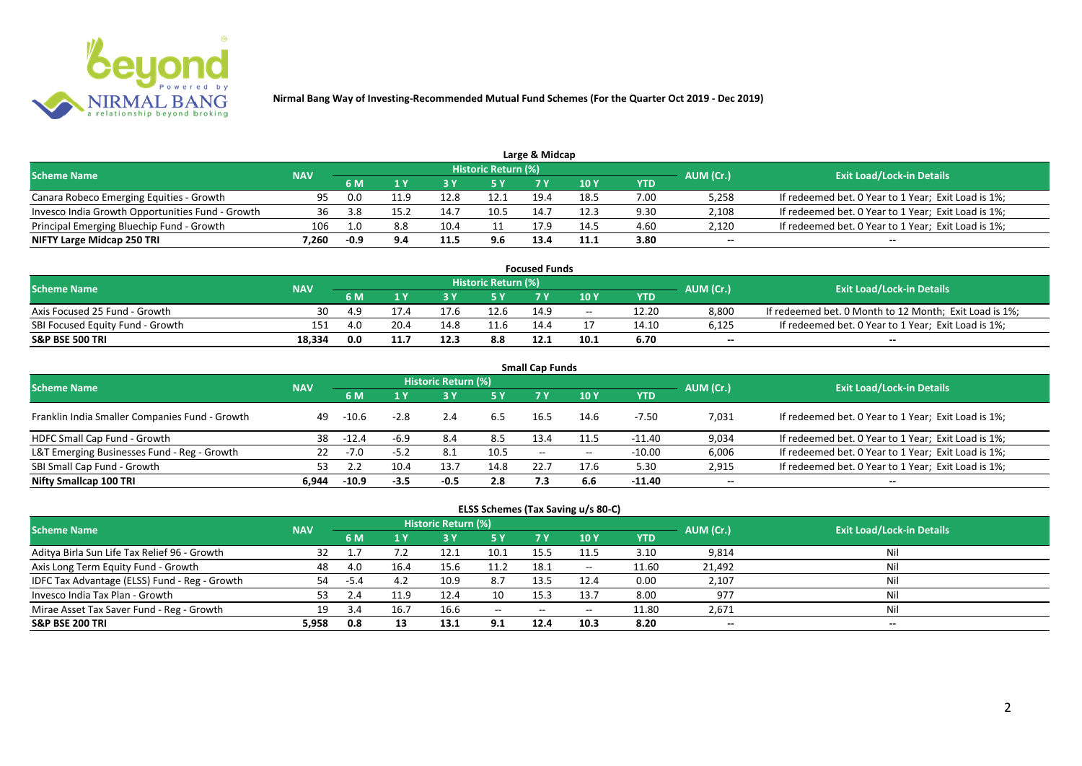

| Large & Midcap                                   |            |           |                                  |      |      |      |      |      |       |                                                     |  |  |  |  |
|--------------------------------------------------|------------|-----------|----------------------------------|------|------|------|------|------|-------|-----------------------------------------------------|--|--|--|--|
| <b>Scheme Name</b>                               | <b>NAV</b> | AUM (Cr.) | <b>Exit Load/Lock-in Details</b> |      |      |      |      |      |       |                                                     |  |  |  |  |
|                                                  |            |           |                                  |      | 5 Y  |      | 10Y  | YTD  |       |                                                     |  |  |  |  |
| Canara Robeco Emerging Equities - Growth         | 95         | 0.0       | 1.9                              | 12.8 | 12.1 | 19.4 | 18.5 | 7.00 | 5,258 | If redeemed bet. 0 Year to 1 Year; Exit Load is 1%; |  |  |  |  |
| Invesco India Growth Opportunities Fund - Growth | 36         | 3.8       | 15.2                             | 14.7 | 10.5 | 14.7 | 12.3 | 9.30 | 2,108 | If redeemed bet. 0 Year to 1 Year; Exit Load is 1%; |  |  |  |  |
| Principal Emerging Bluechip Fund - Growth        | 106        | 0.ء       |                                  | ،10  |      | 17.9 | 14.5 | 4.60 | 2,120 | If redeemed bet. 0 Year to 1 Year; Exit Load is 1%; |  |  |  |  |
| NIFTY Large Midcap 250 TRI                       | '.260      | -0.9      |                                  | 11.5 | 9.6  | 13.4 | 11.1 | 3.80 | $- -$ | $- -$                                               |  |  |  |  |

| <b>Focused Funds</b>             |            |      |      |      |                            |      |            |       |           |                                                        |  |  |  |
|----------------------------------|------------|------|------|------|----------------------------|------|------------|-------|-----------|--------------------------------------------------------|--|--|--|
| <b>Scheme Name</b>               | <b>NAV</b> |      |      |      | <b>Historic Return (%)</b> |      |            |       | AUM (Cr.) | <b>Exit Load/Lock-in Details</b>                       |  |  |  |
|                                  |            | 6 M  |      |      | 5 Y                        |      | <b>10Y</b> | YTD   |           |                                                        |  |  |  |
| Axis Focused 25 Fund - Growth    | 30         | -4.9 |      |      | 12.6                       | 14.9 | $- -$      | 12.20 | 8.800     | If redeemed bet. 0 Month to 12 Month; Exit Load is 1%; |  |  |  |
| SBI Focused Equity Fund - Growth | 151        | 4.0  | 20.4 |      |                            | 14.4 |            | 14.10 | 6,125     | If redeemed bet. 0 Year to 1 Year; Exit Load is 1%;    |  |  |  |
| <b>S&amp;P BSE 500 TRI</b>       | 18.334     | 0.0  | 11.7 | 12.3 | 8.8                        | 12.1 | 10.1       | 6.70  | $- -$     | $- -$                                                  |  |  |  |

| <b>Small Cap Funds</b>                         |            |         |        |                     |      |       |       |            |           |                                                     |  |  |  |
|------------------------------------------------|------------|---------|--------|---------------------|------|-------|-------|------------|-----------|-----------------------------------------------------|--|--|--|
| <b>Scheme Name</b>                             | <b>NAV</b> |         |        | Historic Return (%) |      |       |       |            | AUM (Cr.) | <b>Exit Load/Lock-in Details</b>                    |  |  |  |
|                                                |            | 6 M     | 1 Y    | <b>3Y</b>           | 5 Y  | 7 Y   | 10Y   | <b>YTD</b> |           |                                                     |  |  |  |
| Franklin India Smaller Companies Fund - Growth | 49         | $-10.6$ | $-2.8$ | 2.4                 | 6.5  | 16.5  | 14.6  | -7.50      | 7,031     | If redeemed bet. 0 Year to 1 Year; Exit Load is 1%; |  |  |  |
| HDFC Small Cap Fund - Growth                   | 38         | $-12.4$ | $-6.9$ | 8.4                 | 8.5  | 13.4  |       | -11.40     | 9,034     | If redeemed bet. 0 Year to 1 Year; Exit Load is 1%; |  |  |  |
| L&T Emerging Businesses Fund - Reg - Growth    | 22         | -7.0    | $-5.2$ | 8.1                 | 10.5 | $- -$ | $- -$ | $-10.00$   | 6,006     | If redeemed bet. 0 Year to 1 Year; Exit Load is 1%; |  |  |  |
| SBI Small Cap Fund - Growth                    | 53         |         | 10.4   | 13.7                | 14.8 | 22.7  | 17.6  | 5.30       | 2,915     | If redeemed bet. 0 Year to 1 Year; Exit Load is 1%; |  |  |  |
| Nifty Smallcap 100 TRI                         | 6.944      | $-10.9$ | $-3.5$ | $-0.5$              | 2.8  | 7.3   | 6.6   | -11.40     | $- -$     | $- -$                                               |  |  |  |

| ELSS Schemes (Tax Saving u/s 80-C)            |            |        |      |                            |               |            |                 |       |           |                                  |  |  |
|-----------------------------------------------|------------|--------|------|----------------------------|---------------|------------|-----------------|-------|-----------|----------------------------------|--|--|
| <b>Scheme Name</b>                            | <b>NAV</b> |        |      | <b>Historic Return (%)</b> |               |            |                 |       | AUM (Cr.) | <b>Exit Load/Lock-in Details</b> |  |  |
|                                               |            | 6 M    | 1 Y  | 3 Y                        | <b>5Y</b>     | <b>7 Y</b> | 10 <sub>Y</sub> | YTD   |           |                                  |  |  |
| Aditya Birla Sun Life Tax Relief 96 - Growth  |            |        |      | 12.1                       | 10.1          | 15.5       | 11.5            | 3.10  | 9,814     | Nil                              |  |  |
| Axis Long Term Equity Fund - Growth           | 48         | 4.0    | 16.4 | 15.6                       | 11.2          | 18.1       | $\sim$          | 11.60 | 21,492    | Nil                              |  |  |
| IDFC Tax Advantage (ELSS) Fund - Reg - Growth | 54         | $-5.4$ | 4.2  | 10.9                       | 8.7           | 13.5       | 12.4            | 0.00  | 2,107     | Nil                              |  |  |
| Invesco India Tax Plan - Growth               | 53         | 2.4    | 11.9 | 12.4                       | 10            | 15.3       | 13.7            | 8.00  | 977       | Nil                              |  |  |
| Mirae Asset Tax Saver Fund - Reg - Growth     | 19         | 3.4    | 16.7 | 16.6                       | $\sim$ $\sim$ | $- -$      |                 | 11.80 | 2,671     | Nil                              |  |  |
| S&P BSE 200 TRI                               | 5.958      | 0.8    | 13   | 13.1                       | 9.1           | 12.4       | 10.3            | 8.20  | $- -$     | $- -$                            |  |  |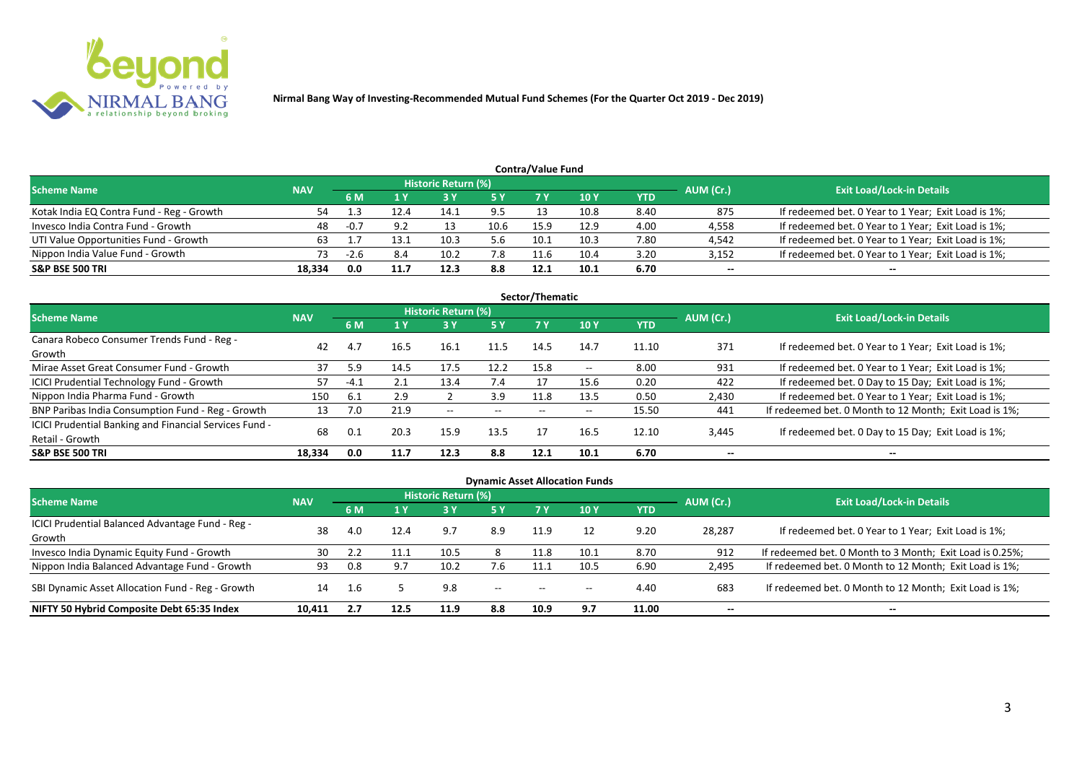

|                                           |            |        |      |                            |      | <b>Contra/Value Fund</b> |             |      |           |                                                     |
|-------------------------------------------|------------|--------|------|----------------------------|------|--------------------------|-------------|------|-----------|-----------------------------------------------------|
| <b>Scheme Name</b>                        | <b>NAV</b> |        |      | <b>Historic Return (%)</b> |      |                          |             |      | AUM (Cr.) | <b>Exit Load/Lock-in Details</b>                    |
|                                           |            | 6 M    |      |                            | 5 Y  | 7 Y                      | <b>10 Y</b> | YTD  |           |                                                     |
| Kotak India EQ Contra Fund - Reg - Growth | 54         |        |      | 14.1                       | 9.5  |                          | 10.8        | 8.40 | 875       | If redeemed bet. 0 Year to 1 Year; Exit Load is 1%; |
| Invesco India Contra Fund - Growth        | 48         | $-0.7$ | 9.2  | 13                         | 10.6 | 15.9                     | 12.9        | 4.00 | 4,558     | If redeemed bet. 0 Year to 1 Year; Exit Load is 1%; |
| UTI Value Opportunities Fund - Growth     | 63         |        |      | 10.3                       | 5.6  | 10.1                     | 10.3        | 7.80 | 4,542     | If redeemed bet. 0 Year to 1 Year; Exit Load is 1%; |
| Nippon India Value Fund - Growth          | 73         |        | 8.4  | 10.2                       | 7.8  | 11.6                     | 10.4        | 3.20 | 3,152     | If redeemed bet. 0 Year to 1 Year; Exit Load is 1%; |
| <b>S&amp;P BSE 500 TRI</b>                | 18.334     | 0.0    | 11.7 | 12.3                       | 8.8  | 12.1                     | 10.1        | 6.70 | $- -$     | $- -$                                               |

|                                                        |            |        |      |                     |       | Sector/Thematic |                          |       |                          |                                                        |
|--------------------------------------------------------|------------|--------|------|---------------------|-------|-----------------|--------------------------|-------|--------------------------|--------------------------------------------------------|
| <b>Scheme Name</b>                                     | <b>NAV</b> |        |      | Historic Return (%) |       |                 |                          |       | AUM (Cr.)                | <b>Exit Load/Lock-in Details</b>                       |
|                                                        |            | 6 M    | 1 Y  | 3 Y                 | 5 Y   | 7 Y             | <b>10Y</b>               | YTD   |                          |                                                        |
| Canara Robeco Consumer Trends Fund - Reg -             | 42         | 4.7    |      | 16.1                | 11.5  | 14.5            | 14.7                     | 11.10 | 371                      | If redeemed bet. 0 Year to 1 Year; Exit Load is 1%;    |
| Growth                                                 |            |        | 16.5 |                     |       |                 |                          |       |                          |                                                        |
| Mirae Asset Great Consumer Fund - Growth               | 37         | 5.9    | 14.5 | 17.5                | 12.2  | 15.8            | $\overline{\phantom{a}}$ | 8.00  | 931                      | If redeemed bet. 0 Year to 1 Year; Exit Load is 1%;    |
| <b>ICICI Prudential Technology Fund - Growth</b>       |            | $-4.1$ | 2.1  | 13.4                | 7.4   |                 | 15.6                     | 0.20  | 422                      | If redeemed bet. 0 Day to 15 Day; Exit Load is 1%;     |
| Nippon India Pharma Fund - Growth                      | 150        | 6.1    | 2.9  |                     | 3.9   | 11.8            | 13.5                     | 0.50  | 2,430                    | If redeemed bet. 0 Year to 1 Year; Exit Load is 1%;    |
| BNP Paribas India Consumption Fund - Reg - Growth      | 13         | 7.0    | 21.9 | $- -$               | $- -$ | $- -$           | $\overline{\phantom{m}}$ | 15.50 | 441                      | If redeemed bet. 0 Month to 12 Month; Exit Load is 1%; |
| ICICI Prudential Banking and Financial Services Fund - | 68         | 0.1    | 20.3 | 15.9                | 13.5  | 17              | 16.5                     |       |                          |                                                        |
| Retail - Growth                                        |            |        |      |                     |       |                 |                          | 12.10 | 3,445                    | If redeemed bet. 0 Day to 15 Day; Exit Load is 1%;     |
| <b>S&amp;P BSE 500 TRI</b>                             | 18,334     | 0.0    | 11.7 | 12.3                | 8.8   | 12.1            | 10.1                     | 6.70  | $\overline{\phantom{a}}$ | --                                                     |

| <b>Dynamic Asset Allocation Funds</b>                      |            |                                  |         |      |            |                          |            |            |        |                                                          |  |  |  |  |
|------------------------------------------------------------|------------|----------------------------------|---------|------|------------|--------------------------|------------|------------|--------|----------------------------------------------------------|--|--|--|--|
| Scheme Name                                                | AUM (Cr.)  | <b>Exit Load/Lock-in Details</b> |         |      |            |                          |            |            |        |                                                          |  |  |  |  |
|                                                            | <b>NAV</b> | 6 M                              | $A$ $V$ |      | <b>5 Y</b> | <b>7Y</b>                | <b>10Y</b> | <b>YTD</b> |        |                                                          |  |  |  |  |
| ICICI Prudential Balanced Advantage Fund - Reg -<br>Growth | 38         | 4.0                              | 12.4    | 9.7  | 8.9        | 11.9                     | 12         | 9.20       | 28,287 | If redeemed bet. 0 Year to 1 Year; Exit Load is 1%;      |  |  |  |  |
| Invesco India Dynamic Equity Fund - Growth                 | 30         |                                  |         | 10.5 | 8          | 11.8                     | 10.1       | 8.70       | 912    | If redeemed bet. 0 Month to 3 Month; Exit Load is 0.25%; |  |  |  |  |
| Nippon India Balanced Advantage Fund - Growth              | 93         | 0.8                              | 9.7     | 10.2 | 7.6        |                          | 10.5       | 6.90       | 2,495  | If redeemed bet. 0 Month to 12 Month; Exit Load is 1%;   |  |  |  |  |
| SBI Dynamic Asset Allocation Fund - Reg - Growth           | 14         | -1.6                             |         | 9.8  | $- -$      | $\overline{\phantom{a}}$ | $- -$      | 4.40       | 683    | If redeemed bet. 0 Month to 12 Month; Exit Load is 1%;   |  |  |  |  |
| NIFTY 50 Hybrid Composite Debt 65:35 Index                 | 10.411     |                                  | 12.5    | 11.9 | 8.8        | 10.9                     | 9.7        | 11.00      | $- -$  | $- -$                                                    |  |  |  |  |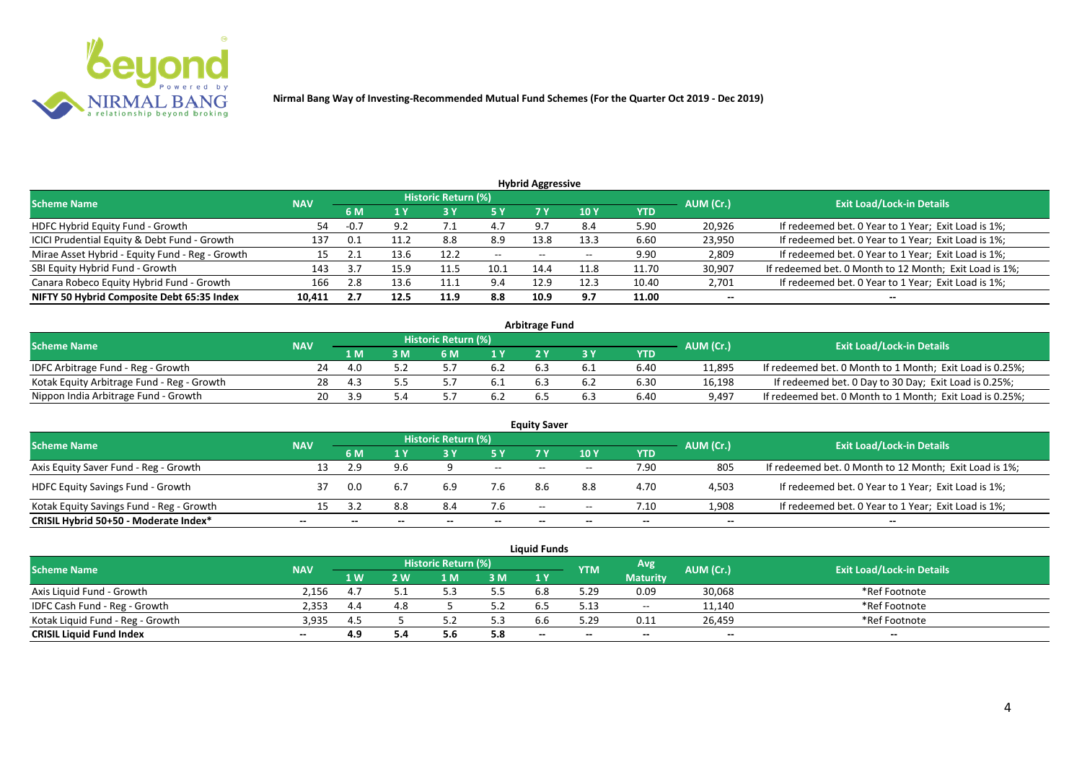

| <b>Hybrid Aggressive</b>                        |            |          |      |                            |       |                          |                 |       |           |                                                        |  |  |  |
|-------------------------------------------------|------------|----------|------|----------------------------|-------|--------------------------|-----------------|-------|-----------|--------------------------------------------------------|--|--|--|
| <b>Scheme Name</b>                              | <b>NAV</b> |          |      | <b>Historic Return (%)</b> |       |                          |                 |       | AUM (Cr.) | <b>Exit Load/Lock-in Details</b>                       |  |  |  |
|                                                 |            | 6 M      |      | 73 Y                       | 5 Y   | 7 Y                      | 10 <sub>Y</sub> | YTD   |           |                                                        |  |  |  |
| HDFC Hybrid Equity Fund - Growth                | 54         | $-0.7$   | 9.2  | .                          | 4.7   | 9.7                      | 8.4             | 5.90  | 20,926    | If redeemed bet. 0 Year to 1 Year; Exit Load is 1%;    |  |  |  |
| ICICI Prudential Equity & Debt Fund - Growth    | 137        |          |      | 8.8                        | 8.9   | 13.8                     | 13.3            | 6.60  | 23,950    | If redeemed bet. 0 Year to 1 Year; Exit Load is 1%;    |  |  |  |
| Mirae Asset Hybrid - Equity Fund - Reg - Growth |            | <u>_</u> | 13.F | 12.2                       | $- -$ | $\overline{\phantom{a}}$ |                 | 9.90  | 2,809     | If redeemed bet. 0 Year to 1 Year; Exit Load is 1%;    |  |  |  |
| SBI Equity Hybrid Fund - Growth                 | 143        |          | 15.9 | 11.5                       | 10.1  | 14.4                     | 11.8            | 11.70 | 30,907    | If redeemed bet. 0 Month to 12 Month; Exit Load is 1%; |  |  |  |
| Canara Robeco Equity Hybrid Fund - Growth       | 166        | 2.8      | 13.6 | 11.1                       | 9.4   | 12.9                     | 12.3            | 10.40 | 2,701     | If redeemed bet. 0 Year to 1 Year; Exit Load is 1%;    |  |  |  |
| NIFTY 50 Hybrid Composite Debt 65:35 Index      | 10,411     | 2.7      | 12.5 | 11.9                       | 8.8   | 10.9                     | 9.7             | 11.00 | $- -$     | $- -$                                                  |  |  |  |

| <b>Arbitrage Fund</b>                      |            |      |  |                     |     |     |  |            |           |                                                          |  |  |  |
|--------------------------------------------|------------|------|--|---------------------|-----|-----|--|------------|-----------|----------------------------------------------------------|--|--|--|
| <b>Scheme Name</b>                         | <b>NAV</b> |      |  | Historic Return (%) |     |     |  |            | AUM (Cr.) | <b>Exit Load/Lock-in Details</b>                         |  |  |  |
|                                            |            | 1 M  |  | 6 M                 | 1 V |     |  | <b>YTD</b> |           |                                                          |  |  |  |
| IDFC Arbitrage Fund - Reg - Growth         |            |      |  |                     | 6.2 |     |  | 6.40       | 11.895    | If redeemed bet. 0 Month to 1 Month; Exit Load is 0.25%; |  |  |  |
| Kotak Equity Arbitrage Fund - Reg - Growth | 28         | -4.3 |  |                     | b.l | 6.3 |  | 6.30       | 16,198    | If redeemed bet. 0 Day to 30 Day; Exit Load is 0.25%;    |  |  |  |
| Nippon India Arbitrage Fund - Growth       |            | ں بے |  |                     |     |     |  | 6.40       | 9,497     | If redeemed bet. 0 Month to 1 Month; Exit Load is 0.25%; |  |  |  |

|                                          |            |     |     | <b>Historic Return (%)</b> |       | <b>Equity Saver</b>      |            |       |           |                                                        |
|------------------------------------------|------------|-----|-----|----------------------------|-------|--------------------------|------------|-------|-----------|--------------------------------------------------------|
| <b>Scheme Name</b>                       | <b>NAV</b> | 6 M |     |                            | 5 Y   | 7 Y                      | <b>10Y</b> | YTD   | AUM (Cr.) | <b>Exit Load/Lock-in Details</b>                       |
| Axis Equity Saver Fund - Reg - Growth    | 13         |     | 9.6 |                            | $ -$  | $-$                      | $- -$      | 7.90  | 805       | If redeemed bet. 0 Month to 12 Month; Exit Load is 1%; |
| <b>HDFC Equity Savings Fund - Growth</b> |            | 0.0 | 6.7 |                            | 7.6   |                          | 8.8        | 4.70  | 4,503     | If redeemed bet. 0 Year to 1 Year; Exit Load is 1%;    |
| Kotak Equity Savings Fund - Reg - Growth | 15         |     | 8.8 | 8.4                        | 7.6   | $- -$                    | $- -$      | 7.10  | 1,908     | If redeemed bet. 0 Year to 1 Year; Exit Load is 1%;    |
| CRISIL Hybrid 50+50 - Moderate Index*    | --         | --  |     | $- -$                      | $- -$ | $\overline{\phantom{a}}$ | $- -$      | $- -$ | $- -$     | $- -$                                                  |

|                                  |            |                |     |                     |     | <b>Liquid Funds</b> |            |                          |                          |                                  |
|----------------------------------|------------|----------------|-----|---------------------|-----|---------------------|------------|--------------------------|--------------------------|----------------------------------|
| <b>Scheme Name</b>               | <b>NAV</b> |                |     | Historic Return (%) |     |                     | <b>YTM</b> | Avg'                     | AUM (Cr.)                | <b>Exit Load/Lock-in Details</b> |
|                                  |            | 1 <sub>W</sub> | ' W | M                   | 3M  | 1Y                  |            | <b>Maturity</b>          |                          |                                  |
| Axis Liquid Fund - Growth        | 2.156      |                |     |                     | 5.5 | 6.8                 | 5.29       | 0.09                     | 30,068                   | *Ref Footnote                    |
| IDFC Cash Fund - Reg - Growth    | 2,353      | 4.4            |     |                     |     | . ხ.                | 5.13       | $  \,$                   | 11,140                   | *Ref Footnote                    |
| Kotak Liquid Fund - Reg - Growth | 3.935      | 4.5            |     |                     | 5.3 | 6.6                 | 29.د       | 0.11                     | 26,459                   | *Ref Footnote                    |
| <b>CRISIL Liquid Fund Index</b>  | $- -$      | 4.9            | 5.4 | o.b                 | 5.8 | $- -$               | $- -$      | $\overline{\phantom{a}}$ | $\overline{\phantom{a}}$ | $\overline{\phantom{a}}$         |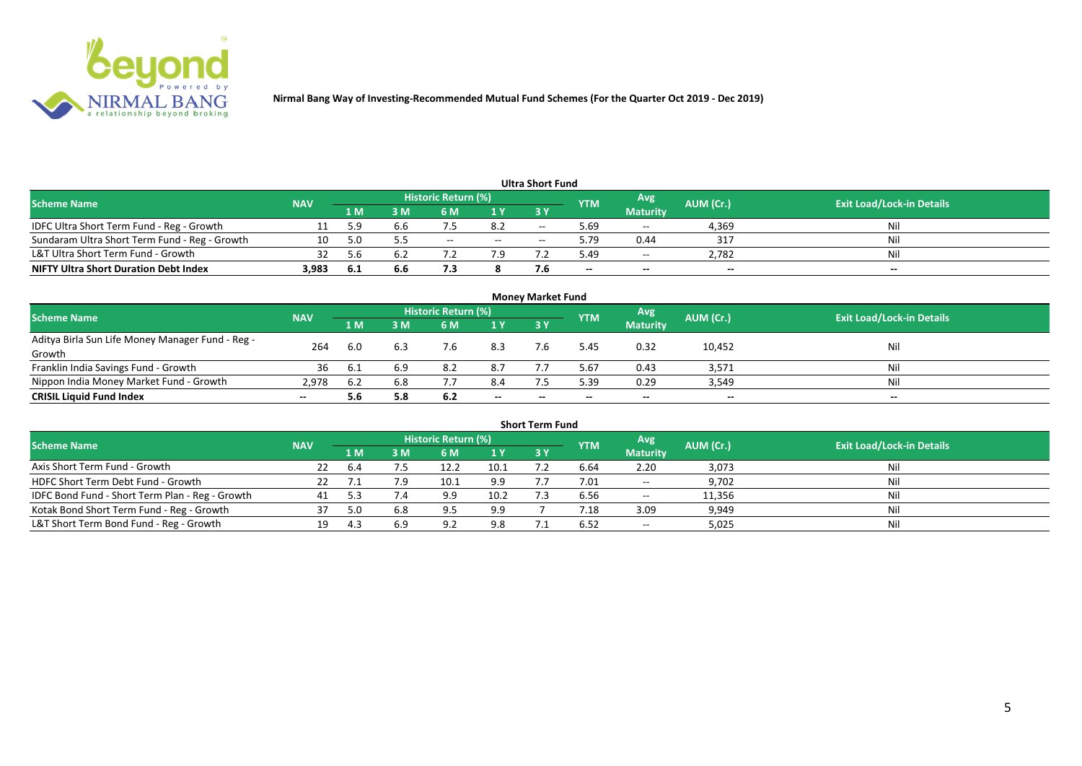

|                                               |            |     |     |                     |        | <b>Ultra Short Fund</b>  |            |                 |           |                                  |
|-----------------------------------------------|------------|-----|-----|---------------------|--------|--------------------------|------------|-----------------|-----------|----------------------------------|
| <b>Scheme Name</b>                            | <b>NAV</b> |     |     | Historic Return (%) |        |                          | <b>YTM</b> | Avg             | AUM (Cr.) | <b>Exit Load/Lock-in Details</b> |
|                                               |            | 1 M | : M | 6 M                 | 1 Y    | 73 Y                     |            | <b>Maturity</b> |           |                                  |
| IDFC Ultra Short Term Fund - Reg - Growth     |            |     | 6.b |                     | 8.2    | $\overline{\phantom{a}}$ | 5.69       | $\sim$          | 4,369     |                                  |
| Sundaram Ultra Short Term Fund - Reg - Growth | 10         |     |     | $- -$               | $\sim$ | $-$                      | 5.79       | 0.44            | 317       |                                  |
| L&T Ultra Short Term Fund - Growth            |            |     | b.2 |                     |        |                          | 49.د       | $- -$           | 2,782     | Ni                               |
| <b>NIFTY Ultra Short Duration Debt Index</b>  | 3,983      | 6.1 | 6.6 | , , ,               |        |                          | $- -$      | $-$             | $- -$     | $- -$                            |

|                                                  |            |     |     |                     |       | <b>Money Market Fund</b> |            |                 |           |                                  |
|--------------------------------------------------|------------|-----|-----|---------------------|-------|--------------------------|------------|-----------------|-----------|----------------------------------|
| <b>Scheme Name</b>                               | <b>NAV</b> |     |     | Historic Return (%) |       |                          | <b>YTM</b> | Avg.            | AUM (Cr.) | <b>Exit Load/Lock-in Details</b> |
|                                                  |            | 1 M | I M | 6 M                 | 1Y    | <b>3Y</b>                |            | <b>Maturity</b> |           |                                  |
| Aditya Birla Sun Life Money Manager Fund - Reg - | 264        | 6.0 | 6.3 |                     | 8.3   |                          | .45 د      | 0.32            | 10,452    | Nil                              |
| Growth                                           |            |     |     |                     |       |                          |            |                 |           |                                  |
| Franklin India Savings Fund - Growth             | 36         |     | 6.9 | 8.2                 | 8.7   |                          | 5.67       | 0.43            | 3,571     | Nil                              |
| Nippon India Money Market Fund - Growth          | 2.978      | 6.2 | 6.8 |                     | 8.4   |                          | 5.39       | 0.29            | 3,549     | Nil                              |
| <b>CRISIL Liquid Fund Index</b>                  |            |     | 5.8 | 6.2                 | $- -$ |                          | $- -$      | $- -$           | $- -$     | $- -$                            |

|                                                 |            |     |     |                            |      | <b>Short Term Fund</b> |            |                             |           |                                  |
|-------------------------------------------------|------------|-----|-----|----------------------------|------|------------------------|------------|-----------------------------|-----------|----------------------------------|
| <b>Scheme Name</b>                              | <b>NAV</b> |     |     | <b>Historic Return (%)</b> |      |                        | <b>YTM</b> | Avg                         | AUM (Cr.) | <b>Exit Load/Lock-in Details</b> |
|                                                 |            | 1 M | 3 M | 6 M                        | 1Y   | <b>3 Y</b>             |            | <b>Maturity</b>             |           |                                  |
| Axis Short Term Fund - Growth                   | 22         | 6.4 |     | 12.2                       | 10.1 |                        | 6.64       | 2.20                        | 3,073     | Ni                               |
| HDFC Short Term Debt Fund - Growth              |            |     |     | 10.1                       | 9.9  |                        | 7.01       | $\sim$ $\sim$               | 9,702     | Ni                               |
| IDFC Bond Fund - Short Term Plan - Reg - Growth | 41         |     | 7.4 | 9.9                        | 10.2 |                        | 6.56       | $\mathcal{L}_{\mathcal{A}}$ | 11,356    | Nii                              |
| Kotak Bond Short Term Fund - Reg - Growth       |            | 5.0 | 6.8 | 9.5                        | 9.9  |                        | 7.18       | 3.09                        | 9,949     | Ni                               |
| L&T Short Term Bond Fund - Reg - Growth         | 19         |     |     | റാ                         | 9.8  |                        | 6.52       | $\sim$ $\sim$               | 5,025     | Ni                               |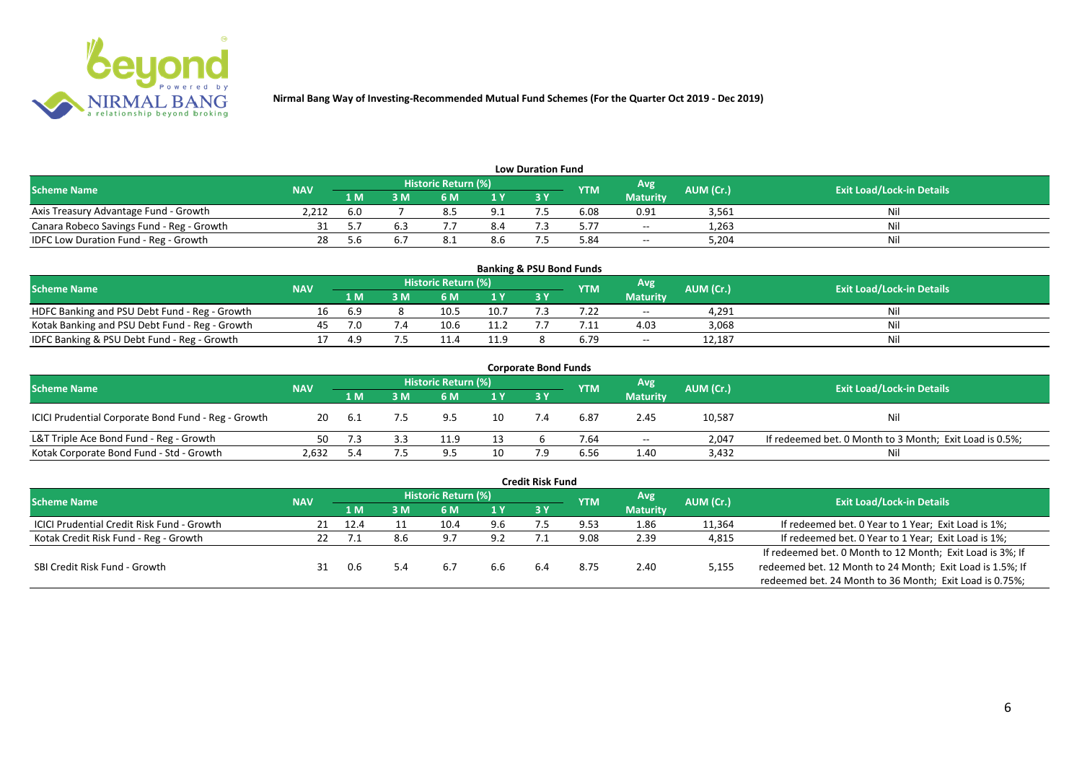

| <b>Low Duration Fund</b>                  |            |     |     |                            |     |  |            |                 |           |                                  |  |  |  |
|-------------------------------------------|------------|-----|-----|----------------------------|-----|--|------------|-----------------|-----------|----------------------------------|--|--|--|
| <b>Scheme Name</b>                        | <b>NAV</b> |     |     | <b>Historic Return (%)</b> |     |  | <b>YTM</b> | <b>Avg</b>      | AUM (Cr.) | <b>Exit Load/Lock-in Details</b> |  |  |  |
|                                           |            | 1 M | 3 M |                            | 1Y  |  |            | <b>Maturity</b> |           |                                  |  |  |  |
| Axis Treasury Advantage Fund - Growth     | 2.212      | 6.0 |     |                            | 9.1 |  | 6.08       | 0.91            | 3,561     | Ni                               |  |  |  |
| Canara Robeco Savings Fund - Reg - Growth |            |     |     |                            | 8.4 |  | 5.77       | $\sim$ $\sim$   | 1,263     |                                  |  |  |  |
| IDFC Low Duration Fund - Reg - Growth     |            | ı.h |     |                            | 8.6 |  | 84.ر       | $\sim$ $\sim$   | 5,204     | Ni.                              |  |  |  |

| <b>Banking &amp; PSU Bond Funds</b>            |            |     |     |                            |      |      |            |                 |           |                                  |  |  |  |
|------------------------------------------------|------------|-----|-----|----------------------------|------|------|------------|-----------------|-----------|----------------------------------|--|--|--|
| <b>Scheme Name</b>                             | <b>NAV</b> |     |     | <b>Historic Return (%)</b> |      |      | <b>YTM</b> | Avg             | AUM (Cr.) | <b>Exit Load/Lock-in Details</b> |  |  |  |
|                                                |            | 1 M | 3 M |                            | 1Y   | 73 Y |            | <b>Maturity</b> |           |                                  |  |  |  |
| HDFC Banking and PSU Debt Fund - Reg - Growth  |            | 6.9 |     | 10.5                       | 10.7 |      |            | $- -$           | 4.291     |                                  |  |  |  |
| Kotak Banking and PSU Debt Fund - Reg - Growth |            |     |     | 10.6                       | 11.2 |      |            | 4.03            | 3,068     | Ni                               |  |  |  |
| IDFC Banking & PSU Debt Fund - Reg - Growth    |            | 4.9 |     |                            | 11.9 |      |            | $- -$           | 12.187    |                                  |  |  |  |

|                                                     |            |       |     |                     |                | <b>Corporate Bond Funds</b> |            |                 |           |                                                         |
|-----------------------------------------------------|------------|-------|-----|---------------------|----------------|-----------------------------|------------|-----------------|-----------|---------------------------------------------------------|
| <b>Scheme Name</b>                                  | <b>NAV</b> |       |     | Historic Return (%) |                |                             | <b>YTM</b> | Avg             | AUM (Cr.) | <b>Exit Load/Lock-in Details</b>                        |
|                                                     |            | 1 M   | 3 M | 6 M                 | 1 <sup>Y</sup> | 3 Y                         |            | <b>Maturity</b> |           |                                                         |
| ICICI Prudential Corporate Bond Fund - Reg - Growth | 20         | - 6.1 | 7.5 | 95                  | 10             |                             | 6.87       | 2.45            | 10,587    | Nil                                                     |
| L&T Triple Ace Bond Fund - Reg - Growth             | 50.        |       |     |                     |                |                             | 7.64       | $- -$           | 2.047     | If redeemed bet. 0 Month to 3 Month; Exit Load is 0.5%; |
| Kotak Corporate Bond Fund - Std - Growth            | 2,632      |       |     | q ⊏                 | 10             |                             | 6.56       | 1.40            | 3,432     | Nil                                                     |

|                                                   |            |      |     |                       |     | <b>Credit Risk Fund</b> |            |                 |           |                                                           |
|---------------------------------------------------|------------|------|-----|-----------------------|-----|-------------------------|------------|-----------------|-----------|-----------------------------------------------------------|
| <b>Scheme Name</b>                                | <b>NAV</b> |      |     | Historic Return (%) ; |     |                         | <b>YTM</b> | Avg             | AUM (Cr.) | <b>Exit Load/Lock-in Details</b>                          |
|                                                   |            | 1 M  | ١M  | 6 M                   | 1 Y | 3V                      |            | <b>Maturity</b> |           |                                                           |
| <b>ICICI Prudential Credit Risk Fund - Growth</b> | 21         | 12.4 |     |                       | 9.6 |                         | 9.53       | 1.86            | 11,364    | If redeemed bet. 0 Year to 1 Year; Exit Load is 1%;       |
| Kotak Credit Risk Fund - Reg - Growth             |            |      | 8.6 | 97                    | 9.2 |                         | 9.08       | 2.39            | 4,815     | If redeemed bet. 0 Year to 1 Year; Exit Load is 1%;       |
|                                                   |            |      |     |                       |     |                         |            |                 |           | If redeemed bet. 0 Month to 12 Month; Exit Load is 3%; If |
| SBI Credit Risk Fund - Growth                     |            |      |     | 6.7                   | 6.6 | 6.4                     | 8.75       | 2.40            | 5,155     | redeemed bet. 12 Month to 24 Month; Exit Load is 1.5%; If |
|                                                   |            |      |     |                       |     |                         |            |                 |           | redeemed bet. 24 Month to 36 Month; Exit Load is 0.75%;   |